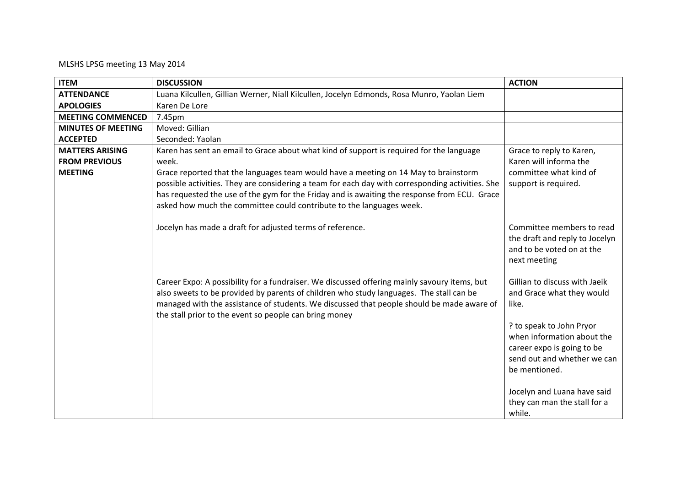## MLSHS LPSG meeting 13 May 2014

| <b>ITEM</b>               | <b>DISCUSSION</b>                                                                                                                                                                                                                                                                                                                              | <b>ACTION</b>                                                                                                                                       |
|---------------------------|------------------------------------------------------------------------------------------------------------------------------------------------------------------------------------------------------------------------------------------------------------------------------------------------------------------------------------------------|-----------------------------------------------------------------------------------------------------------------------------------------------------|
| <b>ATTENDANCE</b>         | Luana Kilcullen, Gillian Werner, Niall Kilcullen, Jocelyn Edmonds, Rosa Munro, Yaolan Liem                                                                                                                                                                                                                                                     |                                                                                                                                                     |
| <b>APOLOGIES</b>          | Karen De Lore                                                                                                                                                                                                                                                                                                                                  |                                                                                                                                                     |
| <b>MEETING COMMENCED</b>  | 7.45pm                                                                                                                                                                                                                                                                                                                                         |                                                                                                                                                     |
| <b>MINUTES OF MEETING</b> | Moved: Gillian                                                                                                                                                                                                                                                                                                                                 |                                                                                                                                                     |
| <b>ACCEPTED</b>           | Seconded: Yaolan                                                                                                                                                                                                                                                                                                                               |                                                                                                                                                     |
| <b>MATTERS ARISING</b>    | Karen has sent an email to Grace about what kind of support is required for the language                                                                                                                                                                                                                                                       | Grace to reply to Karen,                                                                                                                            |
| <b>FROM PREVIOUS</b>      | week.                                                                                                                                                                                                                                                                                                                                          | Karen will informa the                                                                                                                              |
| <b>MEETING</b>            | Grace reported that the languages team would have a meeting on 14 May to brainstorm                                                                                                                                                                                                                                                            | committee what kind of                                                                                                                              |
|                           | possible activities. They are considering a team for each day with corresponding activities. She                                                                                                                                                                                                                                               | support is required.                                                                                                                                |
|                           | has requested the use of the gym for the Friday and is awaiting the response from ECU. Grace                                                                                                                                                                                                                                                   |                                                                                                                                                     |
|                           | asked how much the committee could contribute to the languages week.                                                                                                                                                                                                                                                                           |                                                                                                                                                     |
|                           | Jocelyn has made a draft for adjusted terms of reference.                                                                                                                                                                                                                                                                                      | Committee members to read<br>the draft and reply to Jocelyn<br>and to be voted on at the<br>next meeting                                            |
|                           | Career Expo: A possibility for a fundraiser. We discussed offering mainly savoury items, but<br>also sweets to be provided by parents of children who study languages. The stall can be<br>managed with the assistance of students. We discussed that people should be made aware of<br>the stall prior to the event so people can bring money | Gillian to discuss with Jaeik<br>and Grace what they would<br>like.<br>? to speak to John Pryor<br>when information about the                       |
|                           |                                                                                                                                                                                                                                                                                                                                                | career expo is going to be<br>send out and whether we can<br>be mentioned.<br>Jocelyn and Luana have said<br>they can man the stall for a<br>while. |